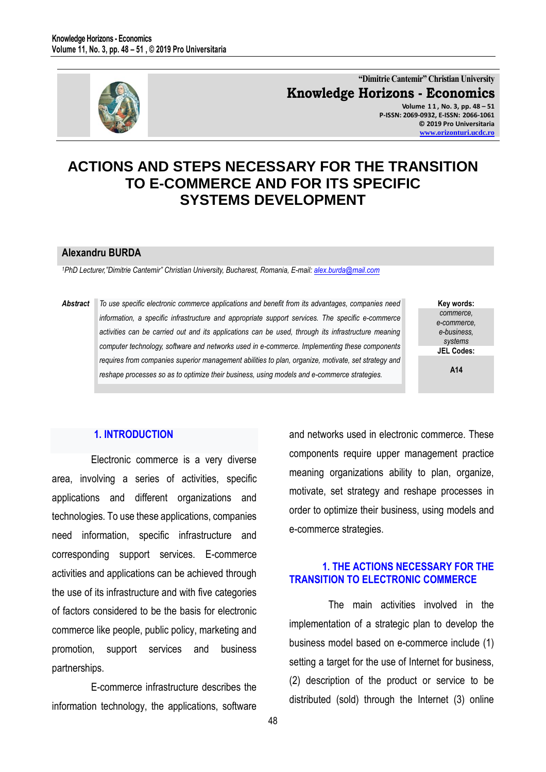

**"Dimitrie Cantemir" Christian University Knowledge Horizons - Economics Volume 1 1 , No. 3, pp. 48 – 51 P-ISSN: 2069-0932, E-ISSN: 2066-1061 © 2019 Pro Universitaria [www.orizonturi.ucdc.ro](http://www.orizonturi.ucdc.ro/)**

# **ACTIONS AND STEPS NECESSARY FOR THE TRANSITION TO E-COMMERCE AND FOR ITS SPECIFIC SYSTEMS DEVELOPMENT**

#### **Alexandru BURDA**

*<sup>1</sup>PhD Lecturer,"Dimitrie Cantemir" Christian University, Bucharest, Romania, E-mail: [alex.burda@mail.com](mailto:alex.burda@mail.com)*

*Abstract To use specific electronic commerce applications and benefit from its advantages, companies need information, a specific infrastructure and appropriate support services. The specific e-commerce activities can be carried out and its applications can be used, through its infrastructure meaning computer technology, software and networks used in e-commerce. Implementing these components requires from companies superior management abilities to plan, organize, motivate, set strategy and reshape processes so as to optimize their business, using models and e-commerce strategies.*

**Key words:** *commerce, e-commerce, e-business, systems* **JEL Codes:**

**A14**

#### **1. INTRODUCTION**

Electronic commerce is a very diverse area, involving a series of activities, specific applications and different organizations and technologies. To use these applications, companies need information, specific infrastructure and corresponding support services. E-commerce activities and applications can be achieved through the use of its infrastructure and with five categories of factors considered to be the basis for electronic commerce like people, public policy, marketing and promotion, support services and business partnerships.

E-commerce infrastructure describes the information technology, the applications, software and networks used in electronic commerce. These components require upper management practice meaning organizations ability to plan, organize, motivate, set strategy and reshape processes in order to optimize their business, using models and e-commerce strategies.

### **1. THE ACTIONS NECESSARY FOR THE TRANSITION TO ELECTRONIC COMMERCE**

The main activities involved in the implementation of a strategic plan to develop the business model based on e-commerce include (1) setting a target for the use of Internet for business, (2) description of the product or service to be distributed (sold) through the Internet (3) online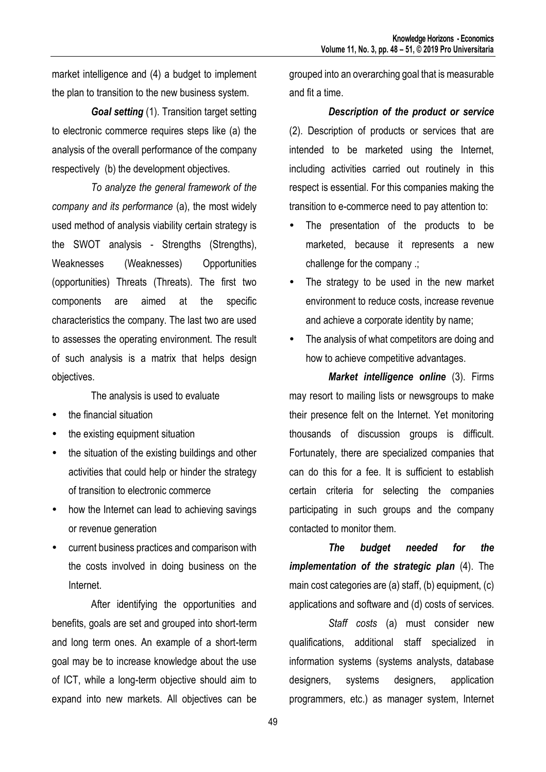market intelligence and (4) a budget to implement the plan to transition to the new business system.

*Goal setting* (1). Transition target setting to electronic commerce requires steps like (a) the analysis of the overall performance of the company respectively (b) the development objectives.

*To analyze the general framework of the company and its performance* (a), the most widely used method of analysis viability certain strategy is the SWOT analysis - Strengths (Strengths), Weaknesses (Weaknesses) Opportunities (opportunities) Threats (Threats). The first two components are aimed at the specific characteristics the company. The last two are used to assesses the operating environment. The result of such analysis is a matrix that helps design objectives.

The analysis is used to evaluate

- the financial situation
- the existing equipment situation
- the situation of the existing buildings and other activities that could help or hinder the strategy of transition to electronic commerce
- how the Internet can lead to achieving savings or revenue generation
- current business practices and comparison with the costs involved in doing business on the Internet.

After identifying the opportunities and benefits, goals are set and grouped into short-term and long term ones. An example of a short-term goal may be to increase knowledge about the use of ICT, while a long-term objective should aim to expand into new markets. All objectives can be

grouped into an overarching goal that is measurable and fit a time.

#### *Description of the product or service*

(2). Description of products or services that are intended to be marketed using the Internet, including activities carried out routinely in this respect is essential. For this companies making the transition to e-commerce need to pay attention to:

- The presentation of the products to be marketed, because it represents a new challenge for the company .;
- The strategy to be used in the new market environment to reduce costs, increase revenue and achieve a corporate identity by name;
- The analysis of what competitors are doing and how to achieve competitive advantages.

*Market intelligence online* (3). Firms may resort to mailing lists or newsgroups to make their presence felt on the Internet. Yet monitoring thousands of discussion groups is difficult. Fortunately, there are specialized companies that can do this for a fee. It is sufficient to establish certain criteria for selecting the companies participating in such groups and the company contacted to monitor them.

*The budget needed for the implementation of the strategic plan* (4). The main cost categories are (a) staff, (b) equipment, (c) applications and software and (d) costs of services.

*Staff costs* (a) must consider new qualifications, additional staff specialized in information systems (systems analysts, database designers, systems designers, application programmers, etc.) as manager system, Internet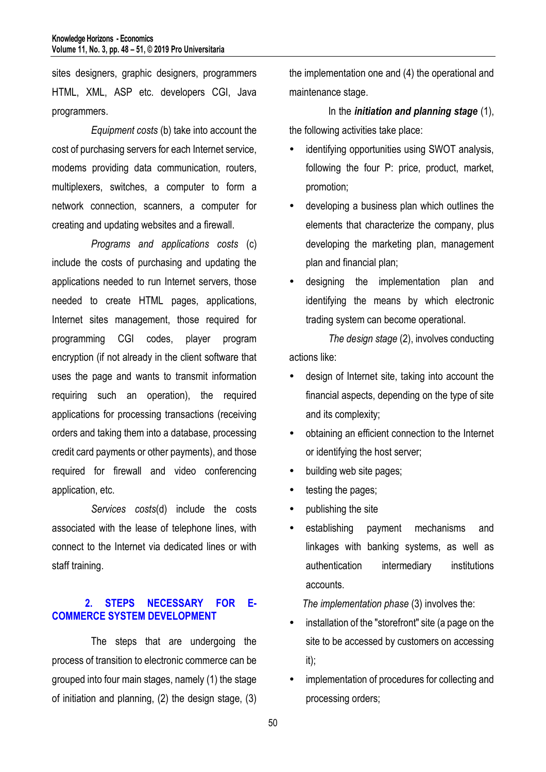sites designers, graphic designers, programmers HTML, XML, ASP etc. developers CGI, Java programmers.

*Equipment costs* (b) take into account the cost of purchasing servers for each Internet service, modems providing data communication, routers, multiplexers, switches, a computer to form a network connection, scanners, a computer for creating and updating websites and a firewall.

*Programs and applications costs* (c) include the costs of purchasing and updating the applications needed to run Internet servers, those needed to create HTML pages, applications, Internet sites management, those required for programming CGI codes, player program encryption (if not already in the client software that uses the page and wants to transmit information requiring such an operation), the required applications for processing transactions (receiving orders and taking them into a database, processing credit card payments or other payments), and those required for firewall and video conferencing application, etc.

*Services costs*(d) include the costs associated with the lease of telephone lines, with connect to the Internet via dedicated lines or with staff training.

## **2. STEPS NECESSARY FOR E-COMMERCE SYSTEM DEVELOPMENT**

The steps that are undergoing the process of transition to electronic commerce can be grouped into four main stages, namely (1) the stage of initiation and planning, (2) the design stage, (3)

the implementation one and (4) the operational and maintenance stage.

In the *initiation and planning stage* (1), the following activities take place:

- identifying opportunities using SWOT analysis, following the four P: price, product, market, promotion;
- developing a business plan which outlines the elements that characterize the company, plus developing the marketing plan, management plan and financial plan;
- designing the implementation plan and identifying the means by which electronic trading system can become operational.

*The design stage* (2), involves conducting actions like:

- design of Internet site, taking into account the financial aspects, depending on the type of site and its complexity;
- obtaining an efficient connection to the Internet or identifying the host server;
- building web site pages;
- testing the pages;
- publishing the site
- establishing payment mechanisms and linkages with banking systems, as well as authentication intermediary institutions accounts.

*The implementation phase* (3) involves the:

- installation of the "storefront" site (a page on the site to be accessed by customers on accessing it);
- implementation of procedures for collecting and processing orders;